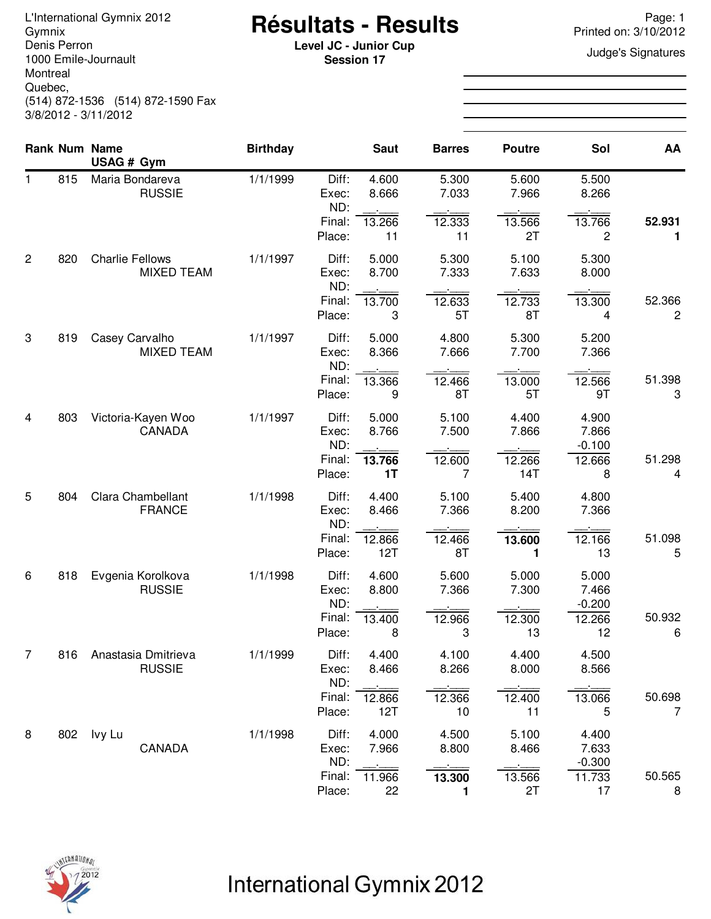Denis Perron 1000 Emile-Journault Montreal Quebec, (514) 872-1536 (514) 872-1590 Fax 3/8/2012 - 3/11/2012

# **Résultats - Results** L'International Gymnix 2012 Page: 1 Gymnix Printed on: 3/10/2012

**Level JC - Junior Cup**<br> **Level JC - Junior Cup**<br> **Session 17 Session 17**

|                |     | Rank Num Name<br>USAG # Gym                 | <b>Birthday</b> |                       | <b>Saut</b>    | <b>Barres</b>  | <b>Poutre</b>            | Sol                        | AA                       |
|----------------|-----|---------------------------------------------|-----------------|-----------------------|----------------|----------------|--------------------------|----------------------------|--------------------------|
| 1.             | 815 | Maria Bondareva<br><b>RUSSIE</b>            | 1/1/1999        | Diff:<br>Exec:<br>ND: | 4.600<br>8.666 | 5.300<br>7.033 | 5.600<br>7.966           | 5.500<br>8.266             |                          |
|                |     |                                             |                 | Final:<br>Place:      | 13.266<br>11   | 12.333<br>11   | 13.566<br>2T             | 13.766<br>2                | 52.931<br>1              |
| $\overline{2}$ | 820 | <b>Charlie Fellows</b><br><b>MIXED TEAM</b> | 1/1/1997        | Diff:<br>Exec:<br>ND: | 5.000<br>8.700 | 5.300<br>7.333 | 5.100<br>7.633           | 5.300<br>8.000             |                          |
|                |     |                                             |                 | Final:<br>Place:      | 13.700<br>3    | 12.633<br>5T   | 12.733<br>8T             | 13.300<br>4                | 52.366<br>2              |
| 3              | 819 | Casey Carvalho<br><b>MIXED TEAM</b>         | 1/1/1997        | Diff:<br>Exec:<br>ND: | 5.000<br>8.366 | 4.800<br>7.666 | 5.300<br>7.700           | 5.200<br>7.366             |                          |
|                |     |                                             |                 | Final:<br>Place:      | 13.366<br>9    | 12.466<br>8T   | 13.000<br>5T             | 12.566<br>9T               | 51.398<br>3              |
| 4              | 803 | Victoria-Kayen Woo<br>CANADA                | 1/1/1997        | Diff:<br>Exec:<br>ND: | 5.000<br>8.766 | 5.100<br>7.500 | 4.400<br>7.866           | 4.900<br>7.866<br>$-0.100$ |                          |
|                |     |                                             |                 | Final:<br>Place:      | 13.766<br>1T   | 12.600<br>7    | 12.266<br>14T            | 12.666<br>8                | 51.298<br>4              |
| 5              | 804 | Clara Chambellant<br><b>FRANCE</b>          | 1/1/1998        | Diff:<br>Exec:<br>ND: | 4.400<br>8.466 | 5.100<br>7.366 | 5.400<br>8.200           | 4.800<br>7.366             |                          |
|                |     |                                             |                 | Final:<br>Place:      | 12.866<br>12T  | 12.466<br>8T   | 13.600<br>1              | 12.166<br>13               | 51.098<br>5              |
| 6              | 818 | Evgenia Korolkova<br><b>RUSSIE</b>          | 1/1/1998        | Diff:<br>Exec:<br>ND: | 4.600<br>8.800 | 5.600<br>7.366 | 5.000<br>7.300           | 5.000<br>7.466<br>$-0.200$ |                          |
|                |     |                                             |                 | Final:<br>Place:      | 13.400<br>8    | 12.966<br>3    | 12.300<br>13             | 12.266<br>12               | 50.932<br>6              |
| $\overline{7}$ | 816 | Anastasia Dmitrieva<br><b>RUSSIE</b>        | 1/1/1999        | Diff:<br>Exec:<br>ND: | 4.400<br>8.466 | 4.100<br>8.266 | 4.400<br>8.000<br>$\sim$ | 4.500<br>8.566<br>$\sim$   |                          |
|                |     |                                             |                 | Final:<br>Place:      | 12.866<br>12T  | 12.366<br>10   | 12.400<br>11             | 13.066<br>5                | 50.698<br>$\overline{7}$ |
| 8              | 802 | Ivy Lu<br>CANADA                            | 1/1/1998        | Diff:<br>Exec:<br>ND: | 4.000<br>7.966 | 4.500<br>8.800 | 5.100<br>8.466           | 4.400<br>7.633<br>$-0.300$ |                          |
|                |     |                                             |                 | Final:<br>Place:      | 11.966<br>22   | 13.300<br>1    | 13.566<br>2T             | 11.733<br>17               | 50.565<br>8              |



## International Gymnix 2012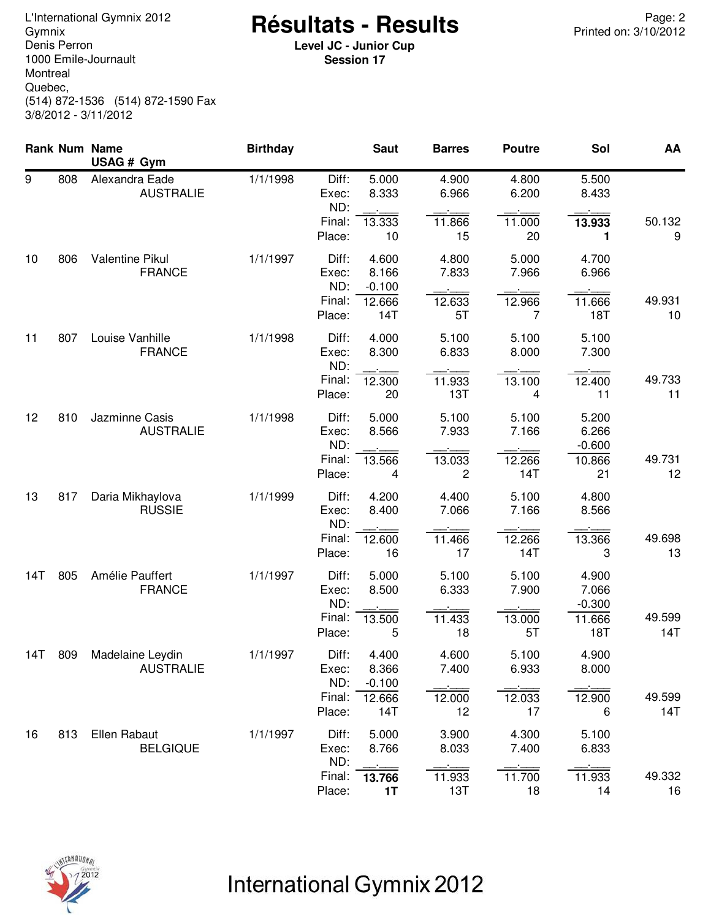Denis Perron 1000 Emile-Journault Montreal Quebec, (514) 872-1536 (514) 872-1590 Fax 3/8/2012 - 3/11/2012

### <sup>2</sup> Page: 2 Page: 2<br>Gymnix **Atesultats - Results** Printed on: 3/10/2012

**Level JC - Junior Cup Session 17**

|     |     | <b>Rank Num Name</b><br>USAG # Gym   | <b>Birthday</b> |                                 | <b>Saut</b>                          | <b>Barres</b>            | <b>Poutre</b>            | Sol                        | AA            |
|-----|-----|--------------------------------------|-----------------|---------------------------------|--------------------------------------|--------------------------|--------------------------|----------------------------|---------------|
| 9   | 808 | Alexandra Eade<br><b>AUSTRALIE</b>   | 1/1/1998        | Diff:<br>Exec:<br>ND:           | 5.000<br>8.333                       | 4.900<br>6.966           | 4.800<br>6.200           | 5.500<br>8.433             |               |
|     |     |                                      |                 | Final:<br>Place:                | 13.333<br>10                         | 11.866<br>15             | 11.000<br>20             | 13.933<br>1                | 50.132<br>9   |
| 10  | 806 | Valentine Pikul<br><b>FRANCE</b>     | 1/1/1997        | Diff:<br>Exec:<br>ND:<br>Final: | 4.600<br>8.166<br>$-0.100$<br>12.666 | 4.800<br>7.833<br>12.633 | 5.000<br>7.966<br>12.966 | 4.700<br>6.966<br>11.666   | 49.931        |
|     |     |                                      |                 | Place:                          | 14T                                  | 5T                       | 7                        | <b>18T</b>                 | 10            |
| 11  | 807 | Louise Vanhille<br><b>FRANCE</b>     | 1/1/1998        | Diff:<br>Exec:<br>ND:           | 4.000<br>8.300                       | 5.100<br>6.833           | 5.100<br>8.000           | 5.100<br>7.300             |               |
|     |     |                                      |                 | Final:<br>Place:                | 12.300<br>20                         | 11.933<br>13T            | 13.100<br>4              | 12.400<br>11               | 49.733<br>11  |
| 12  | 810 | Jazminne Casis<br><b>AUSTRALIE</b>   | 1/1/1998        | Diff:<br>Exec:<br>ND:           | 5.000<br>8.566                       | 5.100<br>7.933           | 5.100<br>7.166           | 5.200<br>6.266<br>$-0.600$ |               |
|     |     |                                      |                 | Final:<br>Place:                | 13.566<br>4                          | 13.033<br>$\overline{c}$ | 12.266<br>14T            | 10.866<br>21               | 49.731<br>12  |
| 13  | 817 | Daria Mikhaylova<br><b>RUSSIE</b>    | 1/1/1999        | Diff:<br>Exec:<br>ND:           | 4.200<br>8.400                       | 4.400<br>7.066           | 5.100<br>7.166           | 4.800<br>8.566             |               |
|     |     |                                      |                 | Final:<br>Place:                | 12.600<br>16                         | 11.466<br>17             | 12.266<br>14T            | 13.366<br>3                | 49.698<br>13  |
| 14T | 805 | Amélie Pauffert<br><b>FRANCE</b>     | 1/1/1997        | Diff:<br>Exec:<br>ND:           | 5.000<br>8.500                       | 5.100<br>6.333           | 5.100<br>7.900           | 4.900<br>7.066<br>$-0.300$ |               |
|     |     |                                      |                 | Final:<br>Place:                | 13.500<br>5                          | 11.433<br>18             | 13.000<br>5T             | 11.666<br>18T              | 49.599<br>14T |
| 14T | 809 | Madelaine Leydin<br><b>AUSTRALIE</b> | 1/1/1997        | Diff:<br>Exec:<br>ND:           | 4.400<br>8.366<br>$-0.100$           | 4.600<br>7.400           | 5.100<br>6.933           | 4.900<br>8.000             |               |
|     |     |                                      |                 | Final:<br>Place:                | 12.666<br>14T                        | 12.000<br>12             | 12.033<br>17             | 12.900<br>6                | 49.599<br>14T |
| 16  | 813 | Ellen Rabaut<br><b>BELGIQUE</b>      | 1/1/1997        | Diff:<br>Exec:<br>ND:           | 5.000<br>8.766                       | 3.900<br>8.033           | 4.300<br>7.400           | 5.100<br>6.833             |               |
|     |     |                                      |                 | Final:<br>Place:                | 13.766<br>1T                         | 11.933<br>13T            | 11.700<br>18             | 11.933<br>14               | 49.332<br>16  |



# International Gymnix 2012